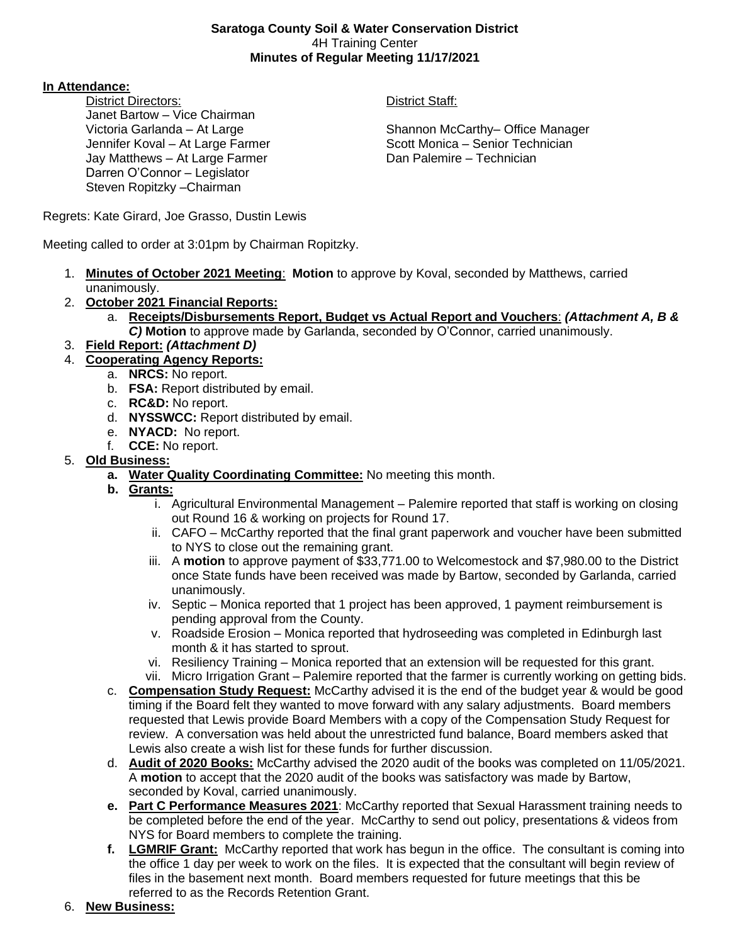#### **Saratoga County Soil & Water Conservation District** 4H Training Center **Minutes of Regular Meeting 11/17/2021**

### **In Attendance:**

District Directors: District Staff: Janet Bartow – Vice Chairman Jay Matthews – At Large Farmer **Dan Palemire – Technician** Darren O'Connor – Legislator Steven Ropitzky –Chairman

Victoria Garlanda – At Large Shannon McCarthy– Office Manager Jennifer Koval – At Large Farmer Scott Monica – Senior Technician

Regrets: Kate Girard, Joe Grasso, Dustin Lewis

Meeting called to order at 3:01pm by Chairman Ropitzky.

- 1. **Minutes of October 2021 Meeting**: **Motion** to approve by Koval, seconded by Matthews, carried unanimously.
- 2. **October 2021 Financial Reports:**
	- a. **Receipts/Disbursements Report, Budget vs Actual Report and Vouchers**: *(Attachment A, B & C)* **Motion** to approve made by Garlanda, seconded by O'Connor, carried unanimously.
- 3. **Field Report:** *(Attachment D)*
- 4. **Cooperating Agency Reports:**
	- a. **NRCS:** No report.
	- b. **FSA:** Report distributed by email.
	- c. **RC&D:** No report.
	- d. **NYSSWCC:** Report distributed by email.
	- e. **NYACD:** No report.
	- f. **CCE:** No report.

## 5. **Old Business:**

- **a. Water Quality Coordinating Committee:** No meeting this month.
- **b. Grants:**
	- i. Agricultural Environmental Management Palemire reported that staff is working on closing out Round 16 & working on projects for Round 17.
	- ii. CAFO McCarthy reported that the final grant paperwork and voucher have been submitted to NYS to close out the remaining grant.
	- iii. A **motion** to approve payment of \$33,771.00 to Welcomestock and \$7,980.00 to the District once State funds have been received was made by Bartow, seconded by Garlanda, carried unanimously.
	- iv. Septic Monica reported that 1 project has been approved, 1 payment reimbursement is pending approval from the County.
	- v. Roadside Erosion Monica reported that hydroseeding was completed in Edinburgh last month & it has started to sprout.
	- vi. Resiliency Training Monica reported that an extension will be requested for this grant.
	- vii. Micro Irrigation Grant Palemire reported that the farmer is currently working on getting bids.
- c. **Compensation Study Request:** McCarthy advised it is the end of the budget year & would be good timing if the Board felt they wanted to move forward with any salary adjustments. Board members requested that Lewis provide Board Members with a copy of the Compensation Study Request for review. A conversation was held about the unrestricted fund balance, Board members asked that Lewis also create a wish list for these funds for further discussion.
- d. **Audit of 2020 Books:** McCarthy advised the 2020 audit of the books was completed on 11/05/2021. A **motion** to accept that the 2020 audit of the books was satisfactory was made by Bartow, seconded by Koval, carried unanimously.
- **e. Part C Performance Measures 2021**: McCarthy reported that Sexual Harassment training needs to be completed before the end of the year. McCarthy to send out policy, presentations & videos from NYS for Board members to complete the training.
- **f. LGMRIF Grant:** McCarthy reported that work has begun in the office. The consultant is coming into the office 1 day per week to work on the files. It is expected that the consultant will begin review of files in the basement next month. Board members requested for future meetings that this be referred to as the Records Retention Grant.
- 6. **New Business:**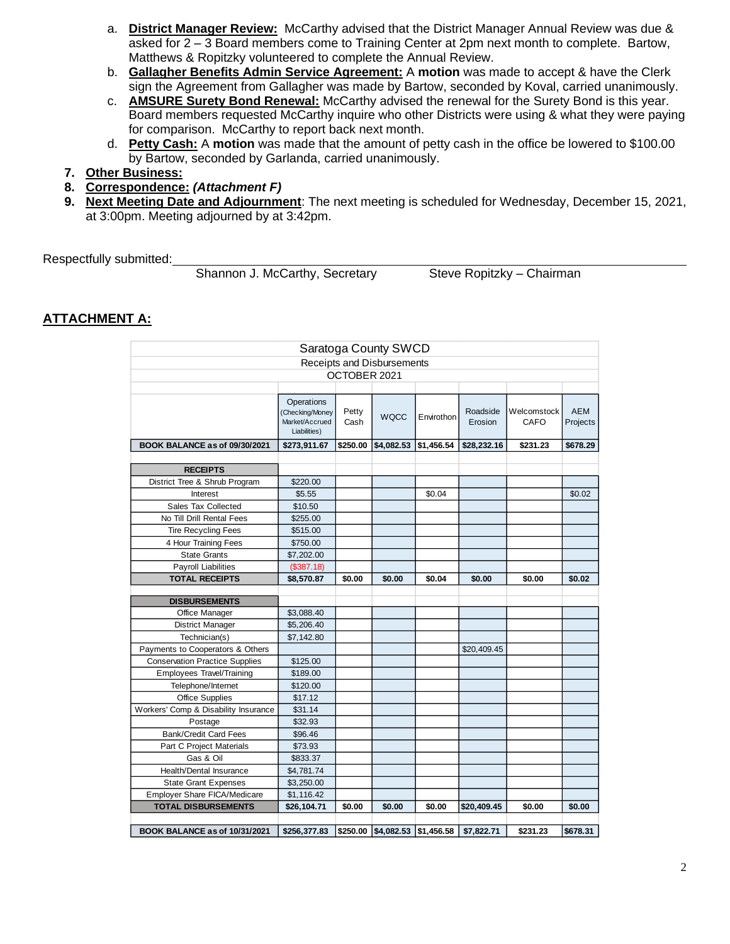- a. **District Manager Review:** McCarthy advised that the District Manager Annual Review was due & asked for 2 – 3 Board members come to Training Center at 2pm next month to complete. Bartow, Matthews & Ropitzky volunteered to complete the Annual Review.
- b. **Gallagher Benefits Admin Service Agreement:** A **motion** was made to accept & have the Clerk sign the Agreement from Gallagher was made by Bartow, seconded by Koval, carried unanimously.
- c. **AMSURE Surety Bond Renewal:** McCarthy advised the renewal for the Surety Bond is this year. Board members requested McCarthy inquire who other Districts were using & what they were paying for comparison. McCarthy to report back next month.
- d. **Petty Cash:** A **motion** was made that the amount of petty cash in the office be lowered to \$100.00 by Bartow, seconded by Garlanda, carried unanimously.
- **7. Other Business:**
- **8. Correspondence:** *(Attachment F)*
- **9. Next Meeting Date and Adjournment**: The next meeting is scheduled for Wednesday, December 15, 2021, at 3:00pm. Meeting adjourned by at 3:42pm.

Respectfully submitted:

Shannon J. McCarthy, Secretary Steve Ropitzky – Chairman

## **ATTACHMENT A:**

|                                       |                                                                        |               | Saratoga County SWCD       |                                      |                     |                     |                        |
|---------------------------------------|------------------------------------------------------------------------|---------------|----------------------------|--------------------------------------|---------------------|---------------------|------------------------|
|                                       |                                                                        |               | Receipts and Disbursements |                                      |                     |                     |                        |
|                                       |                                                                        | OCTOBER 2021  |                            |                                      |                     |                     |                        |
|                                       |                                                                        |               |                            |                                      |                     |                     |                        |
|                                       | <b>Operations</b><br>(Checking/Money<br>Market/Accrued<br>Liabilities) | Petty<br>Cash | <b>WQCC</b>                | Envirothon                           | Roadside<br>Erosion | Welcomstock<br>CAFO | <b>AEM</b><br>Projects |
| BOOK BALANCE as of 09/30/2021         | \$273,911.67                                                           | \$250.00      | \$4,082.53                 | \$1,456.54                           | \$28,232.16         | \$231.23            | \$678.29               |
|                                       |                                                                        |               |                            |                                      |                     |                     |                        |
| <b>RECEIPTS</b>                       |                                                                        |               |                            |                                      |                     |                     |                        |
| District Tree & Shrub Program         | \$220.00                                                               |               |                            |                                      |                     |                     |                        |
| Interest                              | \$5.55                                                                 |               |                            | \$0.04                               |                     |                     | \$0.02                 |
| Sales Tax Collected                   | \$10.50                                                                |               |                            |                                      |                     |                     |                        |
| No Till Drill Rental Fees             | \$255.00                                                               |               |                            |                                      |                     |                     |                        |
| <b>Tire Recycling Fees</b>            | \$515.00                                                               |               |                            |                                      |                     |                     |                        |
| 4 Hour Training Fees                  | \$750.00                                                               |               |                            |                                      |                     |                     |                        |
| <b>State Grants</b>                   | \$7,202.00                                                             |               |                            |                                      |                     |                     |                        |
| Payroll Liabilities                   | (\$387.18)                                                             |               |                            |                                      |                     |                     |                        |
| <b>TOTAL RECEIPTS</b>                 | \$8,570.87                                                             | \$0.00        | \$0.00                     | \$0.04                               | \$0.00              | \$0.00              | \$0.02                 |
|                                       |                                                                        |               |                            |                                      |                     |                     |                        |
| <b>DISBURSEMENTS</b>                  |                                                                        |               |                            |                                      |                     |                     |                        |
| Office Manager                        | \$3,088.40                                                             |               |                            |                                      |                     |                     |                        |
| <b>District Manager</b>               | \$5,206.40                                                             |               |                            |                                      |                     |                     |                        |
| Technician(s)                         | \$7,142.80                                                             |               |                            |                                      |                     |                     |                        |
| Payments to Cooperators & Others      |                                                                        |               |                            |                                      | \$20,409.45         |                     |                        |
| <b>Conservation Practice Supplies</b> | \$125.00                                                               |               |                            |                                      |                     |                     |                        |
| <b>Employees Travel/Training</b>      | \$189.00                                                               |               |                            |                                      |                     |                     |                        |
| Telephone/Internet                    | \$120.00                                                               |               |                            |                                      |                     |                     |                        |
| Office Supplies                       | \$17.12                                                                |               |                            |                                      |                     |                     |                        |
| Workers' Comp & Disability Insurance  | \$31.14                                                                |               |                            |                                      |                     |                     |                        |
| Postage                               | \$32.93                                                                |               |                            |                                      |                     |                     |                        |
| <b>Bank/Credit Card Fees</b>          | \$96.46                                                                |               |                            |                                      |                     |                     |                        |
| Part C Project Materials              | \$73.93                                                                |               |                            |                                      |                     |                     |                        |
| Gas & Oil                             | \$833.37                                                               |               |                            |                                      |                     |                     |                        |
| Health/Dental Insurance               | \$4,781.74                                                             |               |                            |                                      |                     |                     |                        |
| <b>State Grant Expenses</b>           | \$3,250.00                                                             |               |                            |                                      |                     |                     |                        |
| <b>Employer Share FICA/Medicare</b>   | \$1,116.42                                                             |               |                            |                                      |                     |                     |                        |
| <b>TOTAL DISBURSEMENTS</b>            | \$26,104.71                                                            | \$0.00        | \$0.00                     | \$0.00                               | \$20,409.45         | \$0.00              | \$0.00                 |
|                                       |                                                                        |               |                            |                                      |                     |                     |                        |
| BOOK BALANCE as of 10/31/2021         | \$256,377.83                                                           |               |                            | $ $250.00$ $ $4,082.53$ $ $1,456.58$ | \$7,822.71          | \$231.23            | \$678.31               |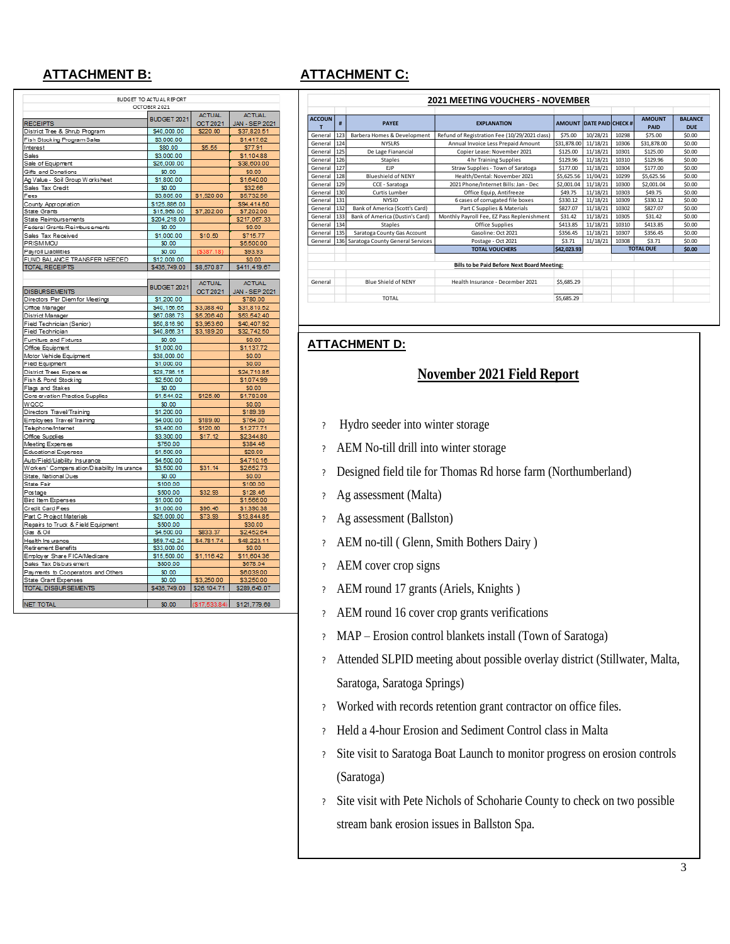## **ATTACHMENT B:**

|                                             | BUDGET TO ACTUAL REPORT |                          |                |
|---------------------------------------------|-------------------------|--------------------------|----------------|
|                                             | OCTOBER 2021            |                          |                |
|                                             | BUDGET 2021             | <b>ACTUAL</b>            | <b>ACTUAL</b>  |
| <b>RECEIPTS</b>                             |                         | OCT2021                  | JAN - SEP 2021 |
| District Tree & Shrub Program               | \$40,000.00             | \$220.00                 | \$37,820.51    |
| Fish Stocking Program Sales                 | \$3,000.00              |                          | \$1,417.62     |
| Interest                                    | \$80.00                 | \$5.55                   | \$77.91        |
| Sales                                       | \$3,000.00              |                          | \$1,104.88     |
| Sale of Equipment                           | \$26,000.00             |                          | \$38,600.00    |
| Gifts and Donations                         | \$0.00                  |                          | \$0.00         |
| Ag Value - Soil Group W orksheet            | \$1,800.00              |                          | \$1,640.00     |
| Sales Tax Credit                            | \$0.00                  |                          | \$32.66        |
| Fees                                        | \$3,805.00              | \$1,520.00               | \$5,732.56     |
| County Appropriation                        | \$125,886.00            |                          | \$94,414.50    |
| State Grants                                | \$15,960.00             | \$7,202.00               | \$7,202.00     |
| State Reimbursements                        | \$204,218.00            |                          | \$217,067.33   |
| Federal Grants/Reimbursements               | \$0.00                  |                          | \$0.00         |
| Sales Tax Received                          | \$1,000.00              | \$10.50                  | \$715.77       |
| PRISM MOU                                   | \$0.00                  |                          | \$5,500.00     |
| Payroll Liablilities                        | \$0.00                  | [\$387.18]               | \$93.93        |
| FUND BALANCE TRANSFER NEEDED                | \$12,000.00             |                          | <b>SO.00</b>   |
| <b>TOTAL RECEIPTS</b>                       | \$436,749.00            | \$8,570.87               | \$411,419.67   |
|                                             |                         |                          |                |
|                                             |                         | <b>ACTUAL</b>            | <b>ACTUAL</b>  |
| <b>DISBURSEMENTS</b>                        | BUDGET 2021             | OCT2021                  | JAN - SEP 2021 |
| Directors Per Diem for Meetings             | \$1,200.00              |                          | \$780.00       |
| Office Manager                              | \$40,156.65             | \$3,088.40               | \$31,810.52    |
| District Manager                            | \$67,086.73             | \$5,206.40               | \$53,542.40    |
| Field Technician (Senior)                   | \$50,816.90             |                          | \$40,407.92    |
| Field Technician                            | \$40,866.31             | \$3,953.60<br>\$3,189.20 | \$32,742.50    |
|                                             |                         |                          |                |
| Furniture and Fixtures                      | \$0.00                  |                          | \$0.00         |
| Office Equipment                            | \$1,000.00              |                          | \$1,137.72     |
| Motor Vehicle Equipment                     | \$38,000.00             |                          | \$0.00         |
| Field Equipment                             | \$1,000.00              |                          | \$0.00         |
| District Trees Expenses                     | \$28,786.15             |                          | \$24,710.85    |
| Fish & Pond Stocking                        | \$2,500.00              |                          | \$1,074.99     |
| Flags and Stakes                            | \$0.00                  |                          | \$0.00         |
| Conservation Practice Supplies              | \$1,544.02              | \$125.00                 | \$1,783.08     |
| WQCC                                        | \$0.00                  |                          | \$0.00         |
| Directors Travel/Training                   | \$1,200.00              |                          | \$189.39       |
| Employees Travel/Training                   | \$4,000.00              | \$189.00                 | \$764.00       |
| Telephone/Internet                          | \$3,400.00              | \$120.00                 | \$1,277.71     |
| Office Supplies                             | \$3,300.00              | \$17.12                  | \$2,344.80     |
| Meeting Expenses                            | \$750.00                |                          | \$384.46       |
| Educational Expenses                        | \$1,500.00              |                          | \$20.00        |
| Auto/Field/Liability Insurance              | \$4,500.00              |                          | \$4,710.16     |
| Workers' Compens ation/Disability Insurance | \$3,500.00              | \$31.14                  | \$2,652.73     |
| State, National Dues                        | \$0.00                  |                          | \$0.00         |
| State Fair                                  | \$100.00                |                          | \$100.00       |
| Postage                                     | \$500.00                | \$32.93                  | \$128.46       |
| Bird Item Expenses                          | \$1,000.00              |                          | \$1,566.00     |
| Credit Card Fees                            | \$1,000.00              | \$96.46                  | \$1,390.38     |
|                                             | \$25,000.00             | \$73.93                  | \$13,844.85    |
| Part C Project Materials                    |                         |                          |                |
| Repairs to Truck & Field Equipment          | \$500.00                |                          | \$30.00        |
| Gas & Oil                                   | \$4,500.00              | \$833.37                 | \$2,452.64     |
| Health Ins urance                           | \$59,742.24             | \$4,781.74               | \$48,223.11    |
| Retirement Benefits                         | \$33,000.00             |                          | \$0.00         |
| Employer Share FICA/Medicare                | \$15,500.00             | \$1,116.42               | \$11,604.36    |
| Sales Tax Disburs ement                     | \$800.00                |                          | \$678.04       |
| Payments to Cooperators and Others          | \$0.00                  |                          | \$6,039.00     |
| State Grant Expenses                        | \$0.00                  | \$3,250.00               | \$3,250.00     |
| TOTAL DISBURSEMENTS                         | \$436,749.00            | \$26,104.71              | \$289,640.07   |
|                                             |                         |                          |                |
| <b>NET TOTAL</b>                            | \$0.00                  | (S17, 533.84)            | \$121,779.60   |

| <b>2021 MEETING VOUCHERS - NOVEMBER</b>     |     |                                  |                                               |             |                                 |                  |                              |                              |
|---------------------------------------------|-----|----------------------------------|-----------------------------------------------|-------------|---------------------------------|------------------|------------------------------|------------------------------|
|                                             |     |                                  |                                               |             |                                 |                  |                              |                              |
| <b>ACCOUN</b><br>т                          | #   | <b>PAYEE</b>                     | <b>EXPLANATION</b>                            |             | <b>AMOUNT DATE PAID CHECK #</b> |                  | <b>AMOUNT</b><br><b>PAID</b> | <b>BALANCE</b><br><b>DUE</b> |
| General                                     | 123 | Barbera Homes & Development      | Refund of Registration Fee (10/29/2021 class) | \$75.00     | 10/28/21                        | 10298            | \$75.00                      | \$0.00                       |
| General                                     | 124 | <b>NYSLRS</b>                    | Annual Invoice Less Prepaid Amount            | \$31,878.00 | 11/18/21                        | 10306            | \$31,878.00                  | \$0.00                       |
| General                                     | 125 | De Lage Fianancial               | Copier Lease: November 2021                   | \$125.00    | 11/18/21                        | 10301            | \$125.00                     | \$0.00                       |
| General                                     | 126 | <b>Staples</b>                   | 4 hr Training Supplies                        | \$129.96    | 11/18/21                        | 10310            | \$129.96                     | \$0.00                       |
| General                                     | 127 | FIP                              | Straw Supplies - Town of Saratoga             | \$177.00    | 11/18/21                        | 10304            | \$177.00                     | \$0.00                       |
| General                                     | 128 | <b>Blueshield of NENY</b>        | Health/Dental: November 2021                  | \$5,625.56  | 11/04/21                        | 10299            | \$5,625.56                   | \$0.00                       |
| General                                     | 129 | CCE - Saratoga                   | 2021 Phone/Internet Bills: Jan - Dec          | \$2,001.04  | 11/18/21                        | 10300            | \$2,001.04                   | \$0.00                       |
| General                                     | 130 | Curtis Lumber                    | Office Equip, Antifreeze                      | \$49.75     | 11/18/21                        | 10303            | \$49.75                      | \$0.00                       |
| General                                     | 131 | <b>NYSID</b>                     | 6 cases of corrugated file boxes              | \$330.12    | 11/18/21                        | 10309            | \$330.12                     | \$0.00                       |
| General                                     | 132 | Bank of America (Scott's Card)   | Part C Supplies & Materials                   | \$827.07    | 11/18/21                        | 10302            | \$827.07                     | \$0.00                       |
| General                                     | 133 | Bank of America (Dustin's Card)  | Monthly Payroll Fee, EZ Pass Replenishment    | \$31.42     | 11/18/21                        | 10305            | \$31.42                      | \$0.00                       |
| General                                     | 134 | Staples                          | Office Supplies                               | \$413.85    | 11/18/21                        | 10310            | \$413.85                     | \$0.00                       |
| General                                     | 135 | Saratoga County Gas Account      | Gasoline: Oct 2021                            | \$356.45    | 11/18/21                        | 10307            | \$356.45                     | \$0.00                       |
| General                                     | 136 | Saratoga County General Services | Postage - Oct 2021                            | \$3.71      | 11/18/21                        | 10308            | \$3.71                       | \$0.00                       |
|                                             |     |                                  | <b>TOTAL VOUCHERS</b>                         | \$42,023.93 |                                 | <b>TOTAL DUE</b> |                              | \$0.00                       |
|                                             |     |                                  |                                               |             |                                 |                  |                              |                              |
| Bills to be Paid Before Next Board Meeting: |     |                                  |                                               |             |                                 |                  |                              |                              |
|                                             |     |                                  |                                               |             |                                 |                  |                              |                              |
| General                                     |     | <b>Blue Shield of NENY</b>       | Health Insurance - December 2021              | \$5,685.29  |                                 |                  |                              |                              |
|                                             |     | TOTAL                            |                                               | \$5,685.29  |                                 |                  |                              |                              |

### **ATTACHMENT D:**

# **November 2021 Field Report**

- ? Hydro seeder into winter storage
- ? AEM No-till drill into winter storage
- ? Designed field tile for Thomas Rd horse farm (Northumberland)
- ? Ag assessment (Malta)
- ? Ag assessment (Ballston)
- ? AEM no-till ( Glenn, Smith Bothers Dairy )
- ? AEM cover crop signs
- ? AEM round 17 grants (Ariels, Knights )
- ? AEM round 16 cover crop grants verifications
- ? MAP Erosion control blankets install (Town of Saratoga)
- ? Attended SLPID meeting about possible overlay district (Stillwater, Malta, Saratoga, Saratoga Springs)
- ? Worked with records retention grant contractor on office files.
- ? Held a 4-hour Erosion and Sediment Control class in Malta
- ? Site visit to Saratoga Boat Launch to monitor progress on erosion controls (Saratoga)
- ? Site visit with Pete Nichols of Schoharie County to check on two possible stream bank erosion issues in Ballston Spa.